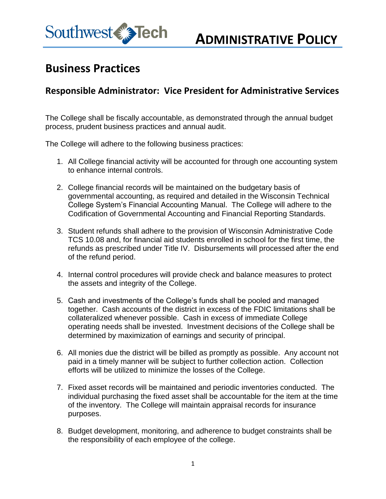

## **Business Practices**

## **Responsible Administrator: Vice President for Administrative Services**

The College shall be fiscally accountable, as demonstrated through the annual budget process, prudent business practices and annual audit.

The College will adhere to the following business practices:

- 1. All College financial activity will be accounted for through one accounting system to enhance internal controls.
- 2. College financial records will be maintained on the budgetary basis of governmental accounting, as required and detailed in the Wisconsin Technical College System's Financial Accounting Manual. The College will adhere to the Codification of Governmental Accounting and Financial Reporting Standards.
- 3. Student refunds shall adhere to the provision of Wisconsin Administrative Code TCS 10.08 and, for financial aid students enrolled in school for the first time, the refunds as prescribed under Title IV. Disbursements will processed after the end of the refund period.
- 4. Internal control procedures will provide check and balance measures to protect the assets and integrity of the College.
- 5. Cash and investments of the College's funds shall be pooled and managed together. Cash accounts of the district in excess of the FDIC limitations shall be collateralized whenever possible. Cash in excess of immediate College operating needs shall be invested. Investment decisions of the College shall be determined by maximization of earnings and security of principal.
- 6. All monies due the district will be billed as promptly as possible. Any account not paid in a timely manner will be subject to further collection action. Collection efforts will be utilized to minimize the losses of the College.
- 7. Fixed asset records will be maintained and periodic inventories conducted. The individual purchasing the fixed asset shall be accountable for the item at the time of the inventory. The College will maintain appraisal records for insurance purposes.
- 8. Budget development, monitoring, and adherence to budget constraints shall be the responsibility of each employee of the college.